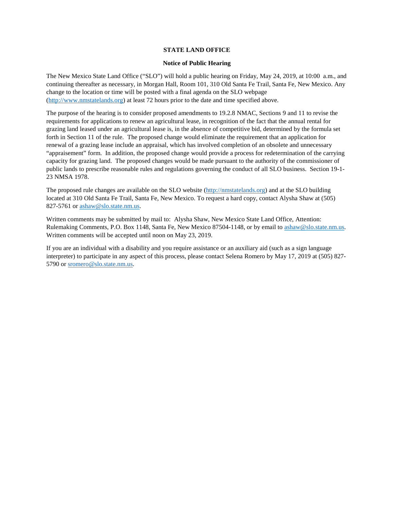### **STATE LAND OFFICE**

#### **Notice of Public Hearing**

The New Mexico State Land Office ("SLO") will hold a public hearing on Friday, May 24, 2019, at 10:00 a.m., and continuing thereafter as necessary, in Morgan Hall, Room 101, 310 Old Santa Fe Trail, Santa Fe, New Mexico. Any change to the location or time will be posted with a final agenda on the SLO webpage [\(http://www.nmstatelands.org\)](http://www.nmstatelands.org/) at least 72 hours prior to the date and time specified above.

The purpose of the hearing is to consider proposed amendments to 19.2.8 NMAC, Sections 9 and 11 to revise the requirements for applications to renew an agricultural lease, in recognition of the fact that the annual rental for grazing land leased under an agricultural lease is, in the absence of competitive bid, determined by the formula set forth in Section 11 of the rule. The proposed change would eliminate the requirement that an application for renewal of a grazing lease include an appraisal, which has involved completion of an obsolete and unnecessary "appraisement" form. In addition, the proposed change would provide a process for redetermination of the carrying capacity for grazing land. The proposed changes would be made pursuant to the authority of the commissioner of public lands to prescribe reasonable rules and regulations governing the conduct of all SLO business. Section 19-1- 23 NMSA 1978.

The proposed rule changes are available on the SLO website [\(http://nmstatelands.org\)](http://nmstatelands.org/) and at the SLO building located at 310 Old Santa Fe Trail, Santa Fe, New Mexico. To request a hard copy, contact Alysha Shaw at (505) 827-5761 or [ashaw@slo.state.nm.us.](mailto:ashaw@slo.state.nm.us)

Written comments may be submitted by mail to: Alysha Shaw, New Mexico State Land Office, Attention: Rulemaking Comments, P.O. Box 1148, Santa Fe, New Mexico 87504-1148, or by email to [ashaw@slo.state.nm.us.](mailto:ashaw@slo.state.nm.us) Written comments will be accepted until noon on May 23, 2019.

If you are an individual with a disability and you require assistance or an auxiliary aid (such as a sign language interpreter) to participate in any aspect of this process, please contact Selena Romero by May 17, 2019 at (505) 827 5790 or [sromero@slo.state.nm.us.](mailto:sromero@slo.state.nm.us)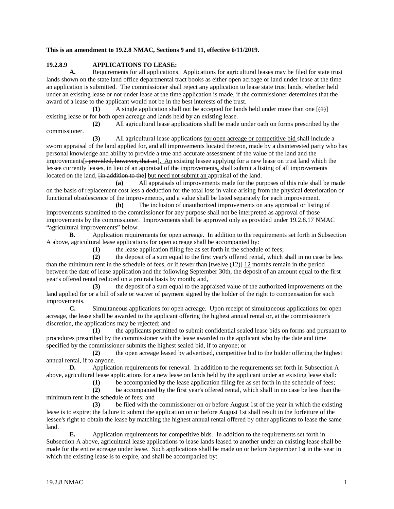#### **This is an amendment to 19.2.8 NMAC, Sections 9 and 11, effective 6/11/2019.**

# **19.2.8.9 APPLICATIONS TO LEASE:**<br>**A.** Requirements for all applications

**A.** Requirements for all applications. Applications for agricultural leases may be filed for state trust lands shown on the state land office departmental tract books as either open acreage or land under lease at the time an application is submitted. The commissioner shall reject any application to lease state trust lands, whether held under an existing lease or not under lease at the time application is made, if the commissioner determines that the award of a lease to the applicant would not be in the best interests of the trust.

**(1)** A single application shall not be accepted for lands held under more than one  $[\downarrow\downarrow\downarrow]$ existing lease or for both open acreage and lands held by an existing lease.

**(2)** All agricultural lease applications shall be made under oath on forms prescribed by the commissioner.

**(3)** All agricultural lease applications for open acreage or competitive bid shall include a sworn appraisal of the land applied for, and all improvements located thereon, made by a disinterested party who has personal knowledge and ability to provide a true and accurate assessment of the value of the land and the improvements[; provided, however, that an]. An existing lessee applying for a new lease on trust land which the lessee currently leases, in lieu of an appraisal of the improvements**,** shall submit a listing of all improvements located on the land,  $\overline{f}$  in addition to the but need not submit an appraisal of the land.

**(a)** All appraisals of improvements made for the purposes of this rule shall be made on the basis of replacement cost less a deduction for the total loss in value arising from the physical deterioration or functional obsolescence of the improvements, and a value shall be listed separately for each improvement.

**(b)** The inclusion of unauthorized improvements on any appraisal or listing of improvements submitted to the commissioner for any purpose shall not be interpreted as approval of those improvements by the commissioner. Improvements shall be approved only as provided under 19.2.8.17 NMAC "agricultural improvements" below.

**B.** Application requirements for open acreage. In addition to the requirements set forth in Subsection A above, agricultural lease applications for open acreage shall be accompanied by:

**(1)** the lease application filing fee as set forth in the schedule of fees;

**(2)** the deposit of a sum equal to the first year's offered rental, which shall in no case be less than the minimum rent in the schedule of fees, or if fewer than  $[\text{twelve}(12)]$  12 months remain in the period between the date of lease application and the following September 30th, the deposit of an amount equal to the first year's offered rental reduced on a pro rata basis by month; and,

**(3)** the deposit of a sum equal to the appraised value of the authorized improvements on the land applied for or a bill of sale or waiver of payment signed by the holder of the right to compensation for such improvements.

**C.** Simultaneous applications for open acreage. Upon receipt of simultaneous applications for open acreage, the lease shall be awarded to the applicant offering the highest annual rental or, at the commissioner's discretion, the applications may be rejected; and

**(1)** the applicants permitted to submit confidential sealed lease bids on forms and pursuant to procedures prescribed by the commissioner with the lease awarded to the applicant who by the date and time specified by the commissioner submits the highest sealed bid, if to anyone; or

**(2)** the open acreage leased by advertised, competitive bid to the bidder offering the highest annual rental, if to anyone.<br>D. Application

**D.** Application requirements for renewal. In addition to the requirements set forth in Subsection A above, agricultural lease applications for a new lease on lands held by the applicant under an existing lease shall:

**(1)** be accompanied by the lease application filing fee as set forth in the schedule of fees;

**(2)** be accompanied by the first year's offered rental, which shall in no case be less than the minimum rent in the schedule of fees; and

**(3)** be filed with the commissioner on or before August 1st of the year in which the existing lease is to expire; the failure to submit the application on or before August 1st shall result in the forfeiture of the lessee's right to obtain the lease by matching the highest annual rental offered by other applicants to lease the same land.

**E.** Application requirements for competitive bids. In addition to the requirements set forth in Subsection A above, agricultural lease applications to lease lands leased to another under an existing lease shall be made for the entire acreage under lease. Such applications shall be made on or before September 1st in the year in which the existing lease is to expire, and shall be accompanied by: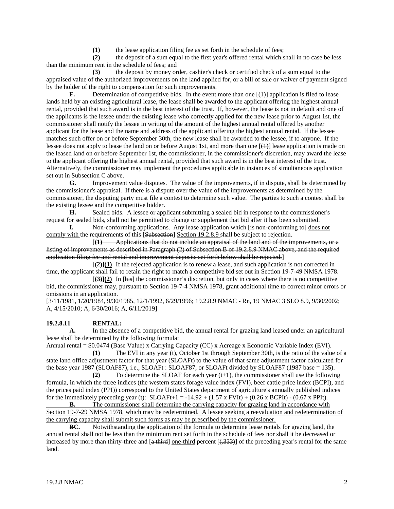(1) the lease application filing fee as set forth in the schedule of fees;<br>(2) the deposit of a sum equal to the first year's offered rental which s

**(2)** the deposit of a sum equal to the first year's offered rental which shall in no case be less than the minimum rent in the schedule of fees; and

**(3)** the deposit by money order, cashier's check or certified check of a sum equal to the appraised value of the authorized improvements on the land applied for, or a bill of sale or waiver of payment signed by the holder of the right to compensation for such improvements.

**F.** Determination of competitive bids. In the event more than one  $[\frac{1}{2}]$  application is filed to lease lands held by an existing agricultural lease, the lease shall be awarded to the applicant offering the highest annual rental, provided that such award is in the best interest of the trust. If, however, the lease is not in default and one of the applicants is the lessee under the existing lease who correctly applied for the new lease prior to August 1st, the commissioner shall notify the lessee in writing of the amount of the highest annual rental offered by another applicant for the lease and the name and address of the applicant offering the highest annual rental. If the lessee matches such offer on or before September 30th, the new lease shall be awarded to the lessee, if to anyone. If the lessee does not apply to lease the land on or before August 1st, and more than one  $[\downarrow\downarrow]$  lease application is made on the leased land on or before September 1st, the commissioner, in the commissioner's discretion, may award the lease to the applicant offering the highest annual rental, provided that such award is in the best interest of the trust. Alternatively, the commissioner may implement the procedures applicable in instances of simultaneous application set out in Subsection C above.

**G.** Improvement value disputes. The value of the improvements, if in dispute, shall be determined by the commissioner's appraisal. If there is a dispute over the value of the improvements as determined by the commissioner, the disputing party must file a contest to determine such value. The parties to such a contest shall be the existing lessee and the competitive bidder.

**H.** Sealed bids. A lessee or applicant submitting a sealed bid in response to the commissioner's request for sealed bids, shall not be permitted to change or supplement that bid after it has been submitted.

**I.** Non-conforming applications. Any lease application which (is non-conforming to does not comply with the requirements of this [Subsection] Section 19.2.8.9 shall be subject to rejection.

[**(1)** Applications that do not include an appraisal of the land and of the improvements, or a listing of improvements as described in Paragraph (2) of Subsection B of 19.2.8.9 NMAC above, and the required application filing fee and rental and improvement deposits set forth below shall be rejected.]

 $[\frac{2}{2}](1)$  If the rejected application is to renew a lease, and such application is not corrected in time, the applicant shall fail to retain the right to match a competitive bid set out in Section 19-7-49 NMSA 1978.

[**(3)](2)** In [his] the commissioner's discretion, but only in cases where there is no competitive bid, the commissioner may, pursuant to Section 19-7-4 NMSA 1978, grant additional time to correct minor errors or omissions in an application.

[3/11/1981, 1/20/1984, 9/30/1985, 12/1/1992, 6/29/1996; 19.2.8.9 NMAC - Rn, 19 NMAC 3 SLO 8.9, 9/30/2002; A, 4/15/2010; A, 6/30/2016; A, 6/11/2019]

## **19.2.8.11 RENTAL:**

**A.** In the absence of a competitive bid, the annual rental for grazing land leased under an agricultural lease shall be determined by the following formula:

Annual rental = \$0.0474 (Base Value) x Carrying Capacity (CC) x Acreage x Economic Variable Index (EVI).

**(1)** The EVI in any year (t), October 1st through September 30th, is the ratio of the value of a state land office adjustment factor for that year (SLOAFt) to the value of that same adjustment factor calculated for the base year 1987 (SLOAF87), i.e., SLOAFt : SLOAF87, or SLOAFt divided by SLOAF87 (1987 base = 135).

**(2)** To determine the SLOAF for each year (t+1), the commissioner shall use the following formula, in which the three indices (the western states forage value index (FVI), beef cattle price index (BCPI), and the prices paid index (PPI)) correspond to the United States department of agriculture's annually published indices for the immediately preceding year (t):  $SLOAFt+1 = -14.92 + (1.57 \times FVIt) + (0.26 \times BCPIt) - (0.67 \times PPIt)$ .

**B.** The commissioner shall determine the carrying capacity for grazing land in accordance with Section 19-7-29 NMSA 1978, which may be redetermined. A lessee seeking a reevaluation and redetermination of the carrying capacity shall submit such forms as may be prescribed by the commissioner.

**BC.** Notwithstanding the application of the formula to determine lease rentals for grazing land, the annual rental shall not be less than the minimum rent set forth in the schedule of fees nor shall it be decreased or increased by more than thirty-three and [a third] one-third percent [(.333)] of the preceding year's rental for the same land.